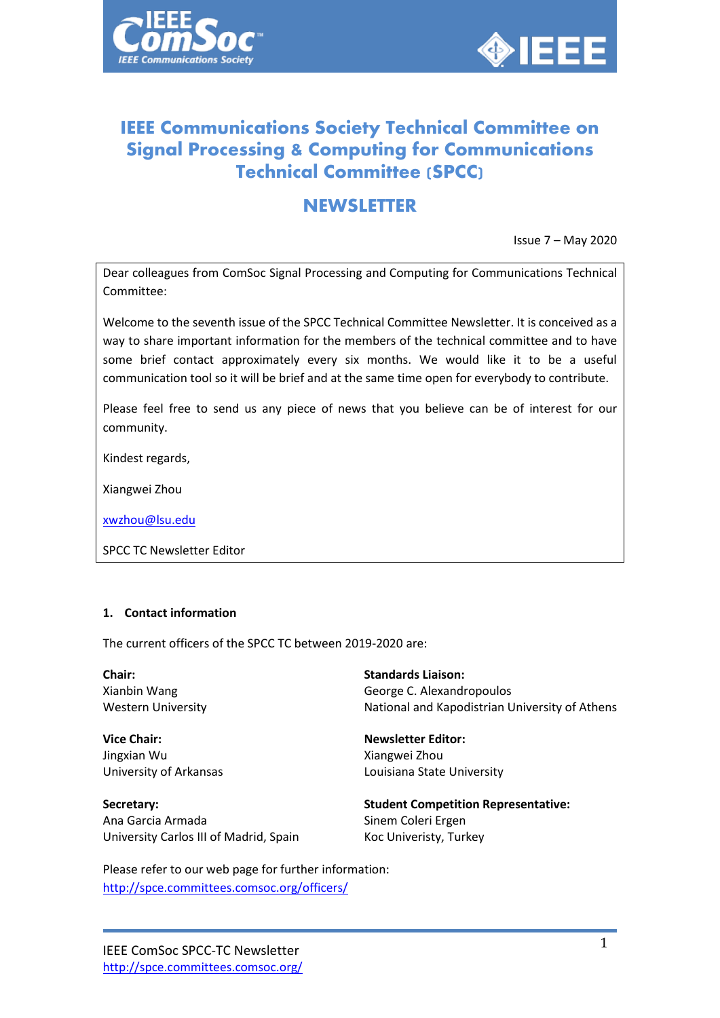



# **IEEE Communications Society Technical Committee on Signal Processing & Computing for Communications Technical Committee (SPCC)**

# **NEWSLETTER**

Issue 7 – May 2020

Dear colleagues from ComSoc Signal Processing and Computing for Communications Technical Committee:

Welcome to the seventh issue of the SPCC Technical Committee Newsletter. It is conceived as a way to share important information for the members of the technical committee and to have some brief contact approximately every six months. We would like it to be a useful communication tool so it will be brief and at the same time open for everybody to contribute.

Please feel free to send us any piece of news that you believe can be of interest for our community.

Kindest regards,

Xiangwei Zhou

[xwzhou@lsu.edu](mailto:xwzhou@lsu.edu)

SPCC TC Newsletter Editor

#### **1. Contact information**

The current officers of the SPCC TC between 2019-2020 are:

**Chair:** Xianbin Wang Western University **Standards Liaison:** George C. Alexandropoulos

**Vice Chair:** Jingxian Wu University of Arkansas

**Secretary:** Ana Garcia Armada University Carlos III of Madrid, Spain National and Kapodistrian University of Athens **Newsletter Editor:**

Xiangwei Zhou Louisiana State University

**Student Competition Representative:** Sinem Coleri Ergen Koc Univeristy, Turkey

Please refer to our web page for further information: <http://spce.committees.comsoc.org/officers/>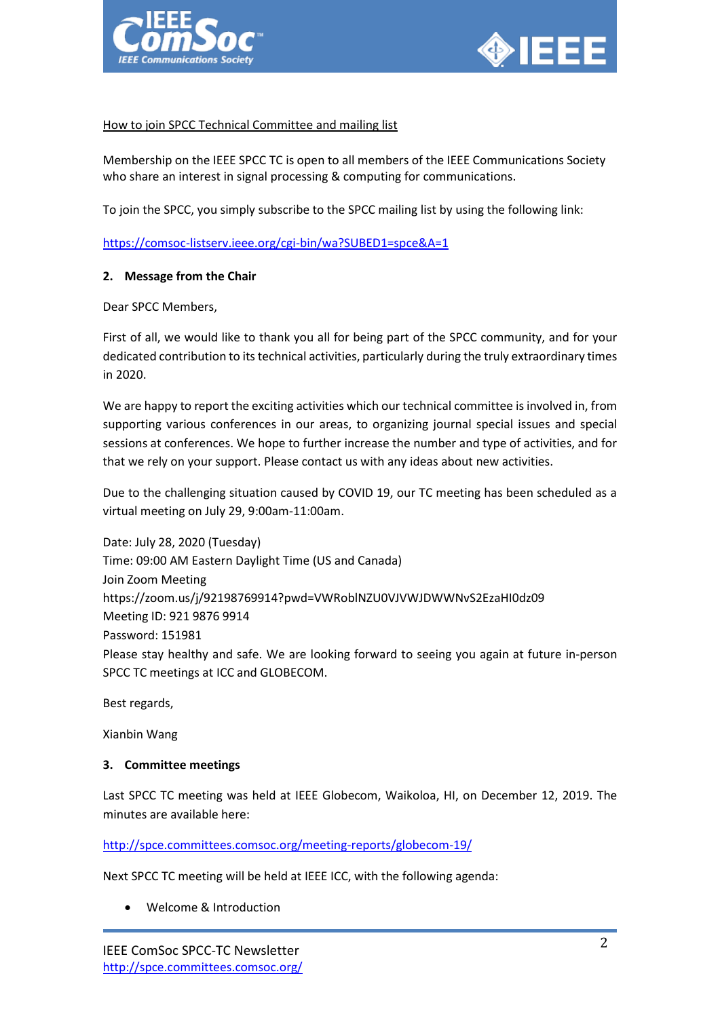



### How to join SPCC Technical Committee and mailing list

Membership on the IEEE SPCC TC is open to all members of the IEEE Communications Society who share an interest in signal processing & computing for communications.

To join the SPCC, you simply subscribe to the SPCC mailing list by using the following link:

<https://comsoc-listserv.ieee.org/cgi-bin/wa?SUBED1=spce&A=1>

#### **2. Message from the Chair**

Dear SPCC Members,

First of all, we would like to thank you all for being part of the SPCC community, and for your dedicated contribution to its technical activities, particularly during the truly extraordinary times in 2020.

We are happy to report the exciting activities which our technical committee is involved in, from supporting various conferences in our areas, to organizing journal special issues and special sessions at conferences. We hope to further increase the number and type of activities, and for that we rely on your support. Please contact us with any ideas about new activities.

Due to the challenging situation caused by COVID 19, our TC meeting has been scheduled as a virtual meeting on July 29, 9:00am-11:00am.

Date: July 28, 2020 (Tuesday) Time: 09:00 AM Eastern Daylight Time (US and Canada) Join Zoom Meeting https://zoom.us/j/92198769914?pwd=VWRoblNZU0VJVWJDWWNvS2EzaHI0dz09 Meeting ID: 921 9876 9914 Password: 151981 Please stay healthy and safe. We are looking forward to seeing you again at future in-person SPCC TC meetings at ICC and GLOBECOM.

Best regards,

Xianbin Wang

#### **3. Committee meetings**

Last SPCC TC meeting was held at IEEE Globecom, Waikoloa, HI, on December 12, 2019. The minutes are available here:

<http://spce.committees.comsoc.org/meeting-reports/globecom-19/>

Next SPCC TC meeting will be held at IEEE ICC, with the following agenda:

• Welcome & Introduction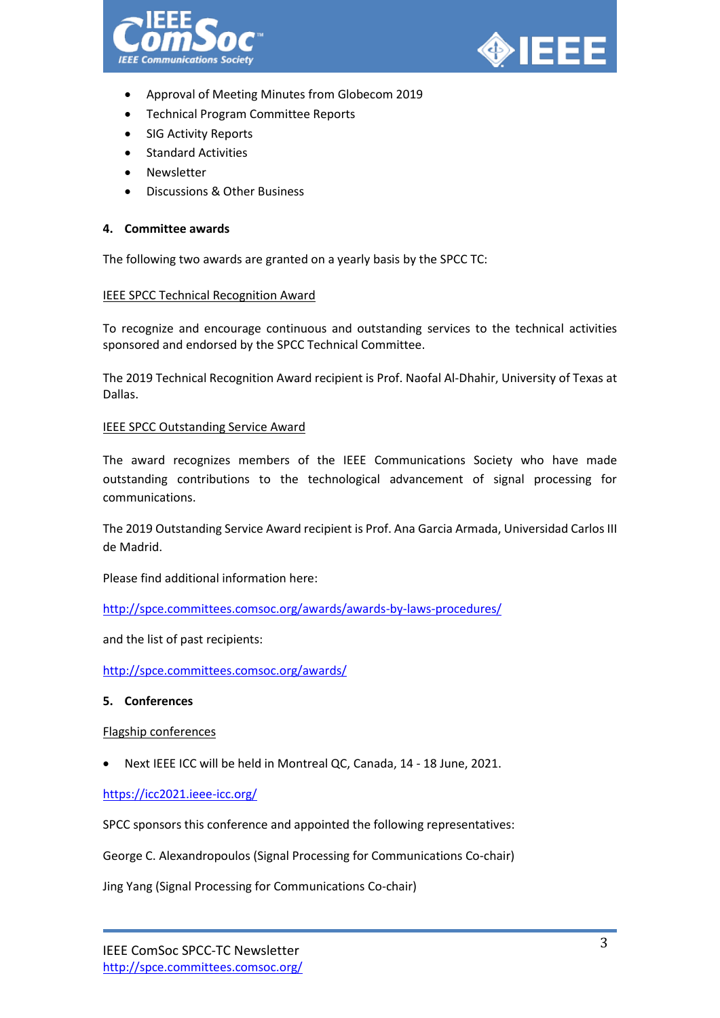



- Approval of Meeting Minutes from Globecom 2019
- Technical Program Committee Reports
- SIG Activity Reports
- Standard Activities
- **Newsletter**
- Discussions & Other Business

#### **4. Committee awards**

The following two awards are granted on a yearly basis by the SPCC TC:

#### **IEEE SPCC Technical Recognition Award**

To recognize and encourage continuous and outstanding services to the technical activities sponsored and endorsed by the SPCC Technical Committee.

The 2019 Technical Recognition Award recipient is Prof. Naofal Al-Dhahir, University of Texas at Dallas.

#### **IEEE SPCC Outstanding Service Award**

The award recognizes members of the IEEE Communications Society who have made outstanding contributions to the technological advancement of signal processing for communications.

The 2019 Outstanding Service Award recipient is Prof. Ana Garcia Armada, Universidad Carlos III de Madrid.

Please find additional information here:

<http://spce.committees.comsoc.org/awards/awards-by-laws-procedures/>

and the list of past recipients:

<http://spce.committees.comsoc.org/awards/>

#### **5. Conferences**

Flagship conferences

• Next IEEE ICC will be held in Montreal QC, Canada, 14 - 18 June, 2021.

<https://icc2021.ieee-icc.org/>

SPCC sponsors this conference and appointed the following representatives:

George C. Alexandropoulos (Signal Processing for Communications Co-chair)

Jing Yang (Signal Processing for Communications Co-chair)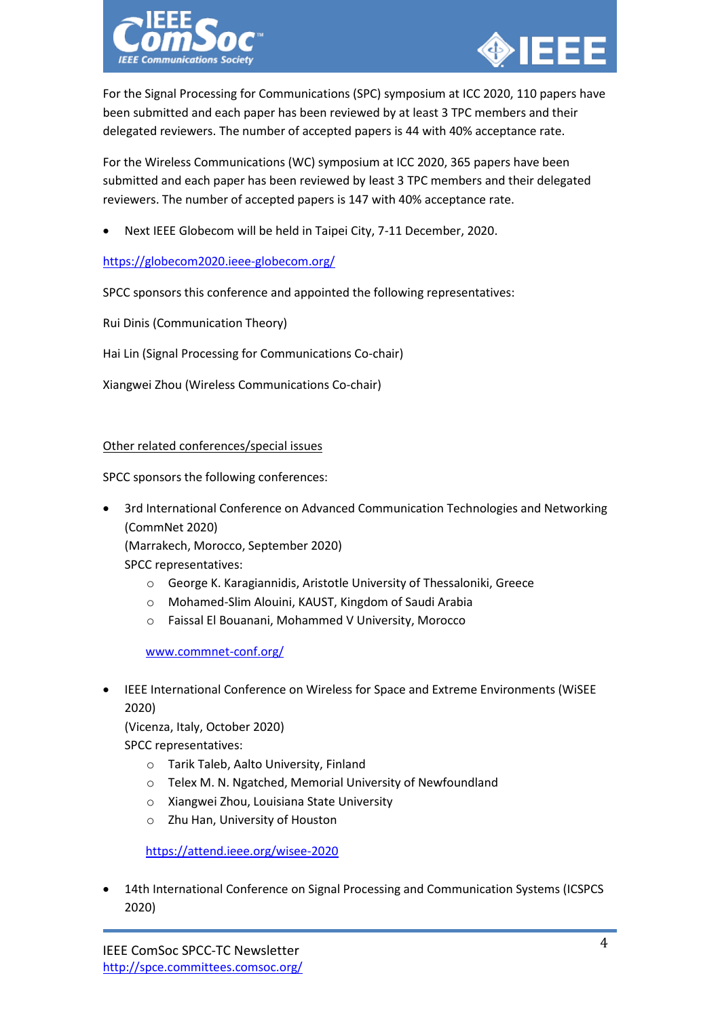



For the Signal Processing for Communications (SPC) symposium at ICC 2020, 110 papers have been submitted and each paper has been reviewed by at least 3 TPC members and their delegated reviewers. The number of accepted papers is 44 with 40% acceptance rate.

For the Wireless Communications (WC) symposium at ICC 2020, 365 papers have been submitted and each paper has been reviewed by least 3 TPC members and their delegated reviewers. The number of accepted papers is 147 with 40% acceptance rate.

• Next IEEE Globecom will be held in Taipei City, 7-11 December, 2020.

https://globecom2020.ieee-globecom.org/

SPCC sponsors this conference and appointed the following representatives:

Rui Dinis (Communication Theory)

Hai Lin (Signal Processing for Communications Co-chair)

Xiangwei Zhou (Wireless Communications Co-chair)

#### Other related conferences/special issues

SPCC sponsors the following conferences:

• 3rd International Conference on Advanced Communication Technologies and Networking (CommNet 2020)

(Marrakech, Morocco, September 2020)

SPCC representatives:

- o George K. Karagiannidis, Aristotle University of Thessaloniki, Greece
- o Mohamed-Slim Alouini, KAUST, Kingdom of Saudi Arabia
- o Faissal El Bouanani, Mohammed V University, Morocco

[www.commnet-conf.org/](http://www.commnet-conf.org/)

• IEEE International Conference on Wireless for Space and Extreme Environments (WiSEE 2020)

(Vicenza, Italy, October 2020)

SPCC representatives:

- o Tarik Taleb, Aalto University, Finland
- o Telex M. N. Ngatched, Memorial University of Newfoundland
- o Xiangwei Zhou, Louisiana State University
- o Zhu Han, University of Houston

<https://attend.ieee.org/wisee-2020>

• 14th International Conference on Signal Processing and Communication Systems (ICSPCS 2020)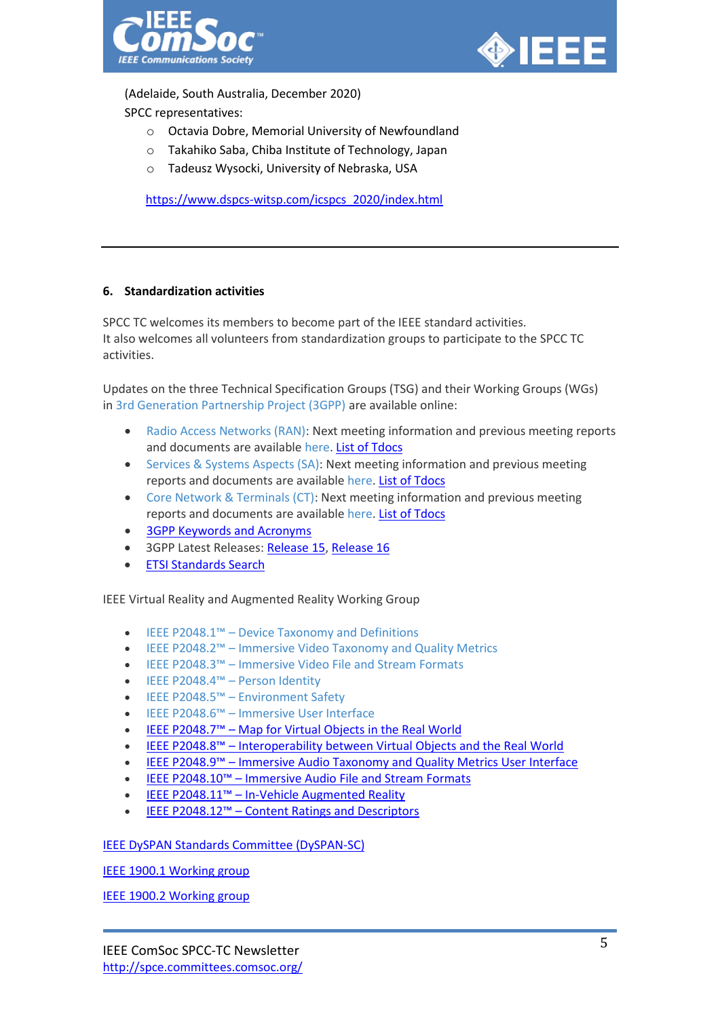



(Adelaide, South Australia, December 2020)

SPCC representatives:

- o Octavia Dobre, Memorial University of Newfoundland
- o Takahiko Saba, Chiba Institute of Technology, Japan
- o Tadeusz Wysocki, University of Nebraska, USA

[https://www.dspcs-witsp.com/icspcs\\_2020/index.html](https://www.dspcs-witsp.com/icspcs_2020/index.html)

#### **6. Standardization activities**

SPCC TC welcomes its members to become part of the IEEE standard activities. It also welcomes all volunteers from standardization groups to participate to the SPCC TC activities.

Updates on the three Technical Specification Groups (TSG) and their Working Groups (WGs) in [3rd Generation Partnership Project \(3GPP\)](https://urldefense.proofpoint.com/v2/url?u=http-3A__www.3gpp.org_about-2D3gpp_about-2D3gpp&d=DwMF-g&c=7ypwAowFJ8v-mw8AB-SdSueVQgSDL4HiiSaLK01W8HA&r=vdmPWbUqbd5jeh3a3dag8Q&m=971QkMRYxq0GfNhiCDE8TCqhN4CnP1BIuIdA1dXTfrw&s=YpvnI4RHN2_kTeqRFbBX3xVNoEwyBgPHsgO47QebSQg&e=) are available online:

- [Radio Access Networks \(RAN\):](https://urldefense.proofpoint.com/v2/url?u=http-3A__www.3gpp.org_specifications-2Dgroups_ran-2Dplenary&d=DwMF-g&c=7ypwAowFJ8v-mw8AB-SdSueVQgSDL4HiiSaLK01W8HA&r=vdmPWbUqbd5jeh3a3dag8Q&m=971QkMRYxq0GfNhiCDE8TCqhN4CnP1BIuIdA1dXTfrw&s=ChEELdLp3edFnRlxaZuZoA-fNiHx0RfXzREvAQd0upY&e=) Next meeting information and previous meeting reports and documents are available [here.](https://urldefense.proofpoint.com/v2/url?u=http-3A__www.3gpp.org_DynaReport_Meetings-2DSP.htm&d=DwMF-g&c=7ypwAowFJ8v-mw8AB-SdSueVQgSDL4HiiSaLK01W8HA&r=vdmPWbUqbd5jeh3a3dag8Q&m=971QkMRYxq0GfNhiCDE8TCqhN4CnP1BIuIdA1dXTfrw&s=yG98NAdYyywE0aNAtbE8wf9THjJpD6pxeiLuho0C0A4&e=) [List of Tdocs](http://www.3gpp.org/ftp/tsg_ran/)
- [Services & Systems Aspects \(SA\):](https://urldefense.proofpoint.com/v2/url?u=http-3A__www.3gpp.org_specifications-2Dgroups_25-2Dsa&d=DwMF-g&c=7ypwAowFJ8v-mw8AB-SdSueVQgSDL4HiiSaLK01W8HA&r=vdmPWbUqbd5jeh3a3dag8Q&m=971QkMRYxq0GfNhiCDE8TCqhN4CnP1BIuIdA1dXTfrw&s=EZ6IK0ol4MnYpEPq3dbRSrWDOErQ-d05CLyNGN0Da7c&e=) Next meeting information and previous meeting reports and documents are available [here.](https://urldefense.proofpoint.com/v2/url?u=http-3A__www.3gpp.org_DynaReport_Meetings-2DSP.htm&d=DwMF-g&c=7ypwAowFJ8v-mw8AB-SdSueVQgSDL4HiiSaLK01W8HA&r=vdmPWbUqbd5jeh3a3dag8Q&m=971QkMRYxq0GfNhiCDE8TCqhN4CnP1BIuIdA1dXTfrw&s=yG98NAdYyywE0aNAtbE8wf9THjJpD6pxeiLuho0C0A4&e=) [List of Tdocs](http://www.3gpp.org/ftp/tsg_sa/)
- [Core Network & Terminals \(CT\):](https://urldefense.proofpoint.com/v2/url?u=http-3A__www.3gpp.org_specifications-2Dgroups_28-2Drubrique34&d=DwMF-g&c=7ypwAowFJ8v-mw8AB-SdSueVQgSDL4HiiSaLK01W8HA&r=vdmPWbUqbd5jeh3a3dag8Q&m=971QkMRYxq0GfNhiCDE8TCqhN4CnP1BIuIdA1dXTfrw&s=7DjNvIVfEl-xUmNtCuNAtzHswhO8JH413KeMvUwGwvU&e=) Next meeting information and previous meeting reports and documents are available [here.](https://urldefense.proofpoint.com/v2/url?u=http-3A__www.3gpp.org_DynaReport_Meetings-2DCP.htm&d=DwMF-g&c=7ypwAowFJ8v-mw8AB-SdSueVQgSDL4HiiSaLK01W8HA&r=vdmPWbUqbd5jeh3a3dag8Q&m=971QkMRYxq0GfNhiCDE8TCqhN4CnP1BIuIdA1dXTfrw&s=kOHdAnRAnXJ1449SzXTKFrN1P-_Xkk8yVFGszXoKqfI&e=) [List of Tdocs](http://www.3gpp.org/ftp/tsg_ct/)
- [3GPP Keywords and Acronyms](http://www.3gpp.org/technologies/keywords-acronyms)
- 3GPP Latest Releases: [Release 15,](http://www.3gpp.org/release-15) [Release 16](http://www.3gpp.org/release-16)
- [ETSI Standards Search](https://www.etsi.org/standards#Pre-defined%20Collections)

IEEE Virtual Reality and Augmented Reality Working Group

- IEEE P2048.1™ [Device Taxonomy and Definitions](http://emailaccount.cmail19.com/t/t-l-hutkdut-kduyddtlh-o/)
- IEEE P2048.2™ [Immersive Video Taxonomy and Quality Metrics](https://urldefense.proofpoint.com/v2/url?u=http-3A__emailaccount.cmail19.com_t_t-2Dl-2Dhutkdut-2Dkduyddtlh-2Db_&d=DwMF-g&c=7ypwAowFJ8v-mw8AB-SdSueVQgSDL4HiiSaLK01W8HA&r=vdmPWbUqbd5jeh3a3dag8Q&m=971QkMRYxq0GfNhiCDE8TCqhN4CnP1BIuIdA1dXTfrw&s=f-BiS2AH3n1a3KHjcZUsswyXIS1ZrYhH6bDC4t_0rsg&e=)
- IEEE P2048.3™ [Immersive Video File and Stream Formats](http://emailaccount.cmail19.com/t/t-l-hutkdut-kduyddtlh-n/)
- [IEEE P2048.4™ –](https://urldefense.proofpoint.com/v2/url?u=http-3A__emailaccount.cmail19.com_t_t-2Dl-2Dhutkdut-2Dkduyddtlh-2Dp_&d=DwMF-g&c=7ypwAowFJ8v-mw8AB-SdSueVQgSDL4HiiSaLK01W8HA&r=vdmPWbUqbd5jeh3a3dag8Q&m=971QkMRYxq0GfNhiCDE8TCqhN4CnP1BIuIdA1dXTfrw&s=BTO55mbyPDdZerb_GwKTOnDX5m752gKAwSf6jcg4tww&e=) Person Identity
- IEEE P2048.5™ [Environment Safety](https://urldefense.proofpoint.com/v2/url?u=http-3A__emailaccount.cmail19.com_t_t-2Dl-2Dhutkdut-2Dkduyddtlh-2Dc_&d=DwMF-g&c=7ypwAowFJ8v-mw8AB-SdSueVQgSDL4HiiSaLK01W8HA&r=vdmPWbUqbd5jeh3a3dag8Q&m=971QkMRYxq0GfNhiCDE8TCqhN4CnP1BIuIdA1dXTfrw&s=7HL8nF2XQhQKQ6Spx7Fqc1_F83cFZzsbhqKQtauruCM&e=)
- IEEE P2048.6™ [Immersive User Interface](https://standards.ieee.org/project/2048_6.html)
- IEEE P2048.7™ [Map for Virtual Objects in the Real World](https://standards.ieee.org/project/2048_7.html)
- IEEE P2048.8™ [Interoperability between Virtual Objects and the Real World](https://standards.ieee.org/project/2048_8.html)
- IEEE P2048.9™ [Immersive Audio Taxonomy and Quality Metrics User Interface](https://standards.ieee.org/project/2048_9.html)
- IEEE P2048.10™ [Immersive Audio File and Stream Formats](https://standards.ieee.org/project/2048_10.html)
- IEEE P2048.11™ [In-Vehicle Augmented Reality](https://standards.ieee.org/project/2048_11.html)
- IEEE P2048.12™ [Content Ratings and Descriptors](https://standards.ieee.org/project/2048_12.html)

[IEEE DySPAN Standards Committee \(DySPAN-SC\)](http://grouper.ieee.org/groups/dyspan/index.html)

[IEEE 1900.1 Working group](http://grouper.ieee.org/groups/dyspan/1/index.htm)

[IEEE 1900.2 Working](http://grouper.ieee.org/groups/dyspan/2/index.htm) group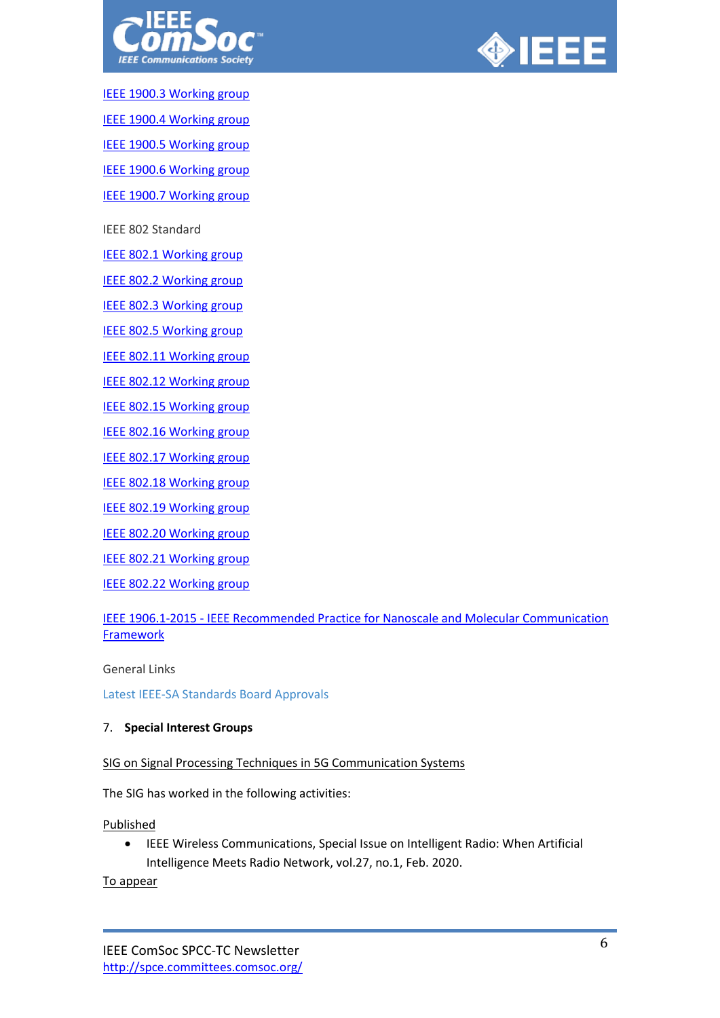

IEEE

[IEEE 1900.3 Working group](http://grouper.ieee.org/groups/dyspan/3/index.htm)

[IEEE 1900.4 Working group](http://grouper.ieee.org/groups/dyspan/4/index.htm)

[IEEE 1900.5 Working group](http://grouper.ieee.org/groups/dyspan/5/index.htm)

[IEEE 1900.6 Working group](http://grouper.ieee.org/groups/dyspan/6/index.htm)

[IEEE 1900.7 Working group](http://grouper.ieee.org/groups/dyspan/7/index.htm)

IEEE 802 Standard

[IEEE 802.1 Working group](http://grouper.ieee.org/groups/802/1/index.html)

[IEEE 802.2 Working group](http://grouper.ieee.org/groups/802/2/index.html)

[IEEE 802.3 Working group](http://grouper.ieee.org/groups/802/3/index.html)

[IEEE 802.5 Working group](http://www.ieee802.org/5/www8025org/)

[IEEE 802.11 Working group](http://grouper.ieee.org/groups/802/11/index.html)

**[IEEE 802.12 Working group](http://grouper.ieee.org/groups/802/12/index.html)** 

[IEEE 802.15 Working group](http://grouper.ieee.org/groups/802/15/)

[IEEE 802.16 Working group](http://grouper.ieee.org/groups/802/16/index.html)

[IEEE 802.17 Working group](http://grouper.ieee.org/groups/802/17/)

[IEEE 802.18 Working group](http://grouper.ieee.org/groups/802/18/)

[IEEE 802.19 Working group](http://grouper.ieee.org/groups/802/19/)

[IEEE 802.20 Working group](http://grouper.ieee.org/groups/802/20/)

[IEEE 802.21 Working group](http://www.ieee802.org/21/index.html)

[IEEE 802.22 Working group](http://www.ieee802.org/22/)

IEEE 1906.1-2015 - [IEEE Recommended Practice for Nanoscale and Molecular Communication](https://standards.ieee.org/standard/1906_1-2015.html)  [Framework](https://standards.ieee.org/standard/1906_1-2015.html)

General Links

[Latest IEEE-SA Standards Board Approvals](http://standards.ieee.org/news/index.html#board-approvals)

## 7. **Special Interest Groups**

SIG on Signal Processing Techniques in 5G Communication Systems

The SIG has worked in the following activities:

Published

• IEEE Wireless Communications, Special Issue on Intelligent Radio: When Artificial Intelligence Meets Radio Network, vol.27, no.1, Feb. 2020.

To appear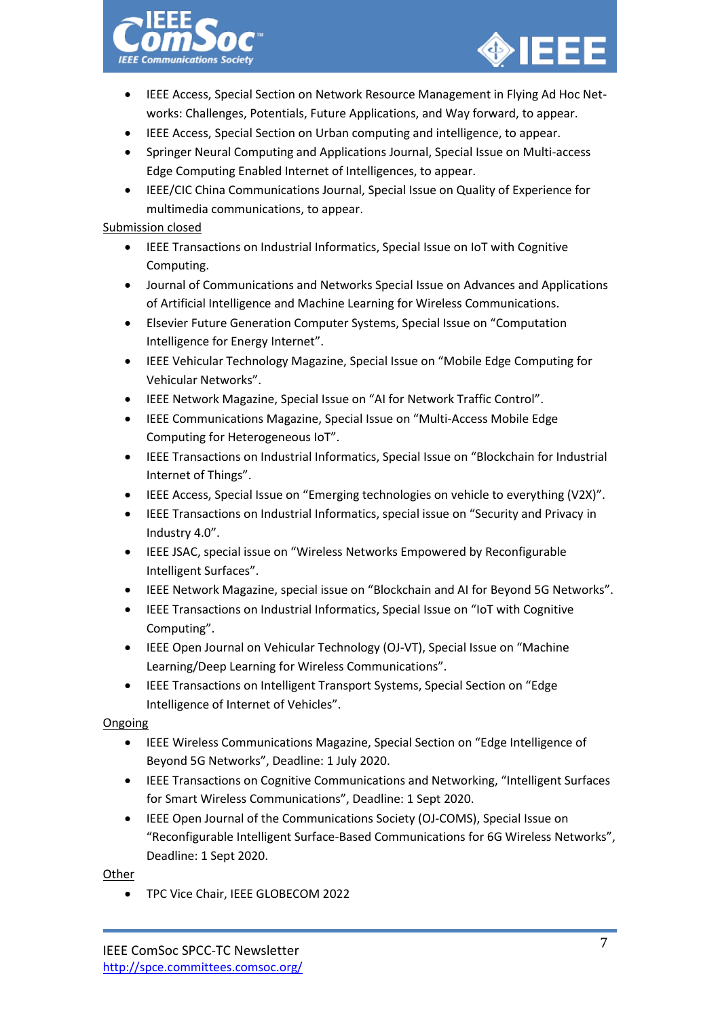



- IEEE Access, Special Section on Network Resource Management in Flying Ad Hoc Networks: Challenges, Potentials, Future Applications, and Way forward, to appear.
- IEEE Access, Special Section on Urban computing and intelligence, to appear.
- Springer Neural Computing and Applications Journal, Special Issue on Multi-access Edge Computing Enabled Internet of Intelligences, to appear.
- IEEE/CIC China Communications Journal, Special Issue on Quality of Experience for multimedia communications, to appear.

Submission closed

- IEEE Transactions on Industrial Informatics, Special Issue on IoT with Cognitive Computing.
- Journal of Communications and Networks Special Issue on Advances and Applications of Artificial Intelligence and Machine Learning for Wireless Communications.
- Elsevier Future Generation Computer Systems, Special Issue on "Computation Intelligence for Energy Internet".
- IEEE Vehicular Technology Magazine, Special Issue on "Mobile Edge Computing for Vehicular Networks".
- IEEE Network Magazine, Special Issue on "AI for Network Traffic Control".
- IEEE Communications Magazine, Special Issue on "Multi-Access Mobile Edge Computing for Heterogeneous IoT".
- IEEE Transactions on Industrial Informatics, Special Issue on "Blockchain for Industrial Internet of Things".
- IEEE Access, Special Issue on "Emerging technologies on vehicle to everything (V2X)".
- IEEE Transactions on Industrial Informatics, special issue on "Security and Privacy in Industry 4.0".
- IEEE JSAC, special issue on "Wireless Networks Empowered by Reconfigurable Intelligent Surfaces".
- IEEE Network Magazine, special issue on "Blockchain and AI for Beyond 5G Networks".
- IEEE Transactions on Industrial Informatics, Special Issue on "IoT with Cognitive Computing".
- IEEE Open Journal on Vehicular Technology (OJ-VT), Special Issue on "Machine Learning/Deep Learning for Wireless Communications".
- IEEE Transactions on Intelligent Transport Systems, Special Section on "Edge Intelligence of Internet of Vehicles".

Ongoing

- IEEE Wireless Communications Magazine, Special Section on "Edge Intelligence of Beyond 5G Networks", Deadline: 1 July 2020.
- IEEE Transactions on Cognitive Communications and Networking, "Intelligent Surfaces for Smart Wireless Communications", Deadline: 1 Sept 2020.
- IEEE Open Journal of the Communications Society (OJ-COMS), Special Issue on "Reconfigurable Intelligent Surface-Based Communications for 6G Wireless Networks", Deadline: 1 Sept 2020.

Other

• TPC Vice Chair, IEEE GLOBECOM 2022